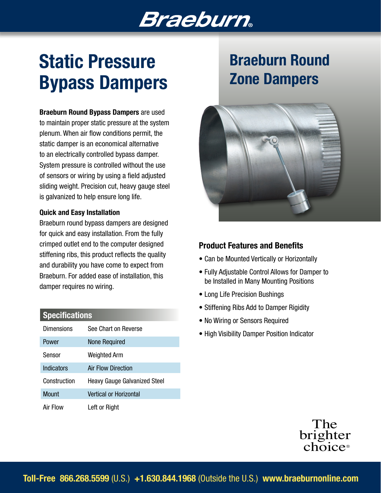## **Braeburn**

# Static Pressure Bypass Dampers

Braeburn Round Bypass Dampers are used to maintain proper static pressure at the system plenum. When air flow conditions permit, the static damper is an economical alternative to an electrically controlled bypass damper. System pressure is controlled without the use of sensors or wiring by using a field adjusted sliding weight. Precision cut, heavy gauge steel is galvanized to help ensure long life.

#### Quick and Easy Installation

Braeburn round bypass dampers are designed for quick and easy installation. From the fully crimped outlet end to the computer designed stiffening ribs, this product reflects the quality and durability you have come to expect from Braeburn. For added ease of installation, this damper requires no wiring.

| Specifications |
|----------------|
|----------------|

| Dimensions   | See Chart on Reverse                |
|--------------|-------------------------------------|
| Power        | <b>None Required</b>                |
| Sensor       | Weighted Arm                        |
| Indicators   | Air Flow Direction                  |
| Construction | <b>Heavy Gauge Galvanized Steel</b> |
| Mount        | Vertical or Horizontal              |
| Air Flow     | Left or Right                       |

## Braeburn Round Zone Dampers



### Product Features and Benefits

- Can be Mounted Vertically or Horizontally
- Fully Adjustable Control Allows for Damper to be Installed in Many Mounting Positions
- Long Life Precision Bushings
- Stiffening Ribs Add to Damper Rigidity
- No Wiring or Sensors Required
- High Visibility Damper Position Indicator